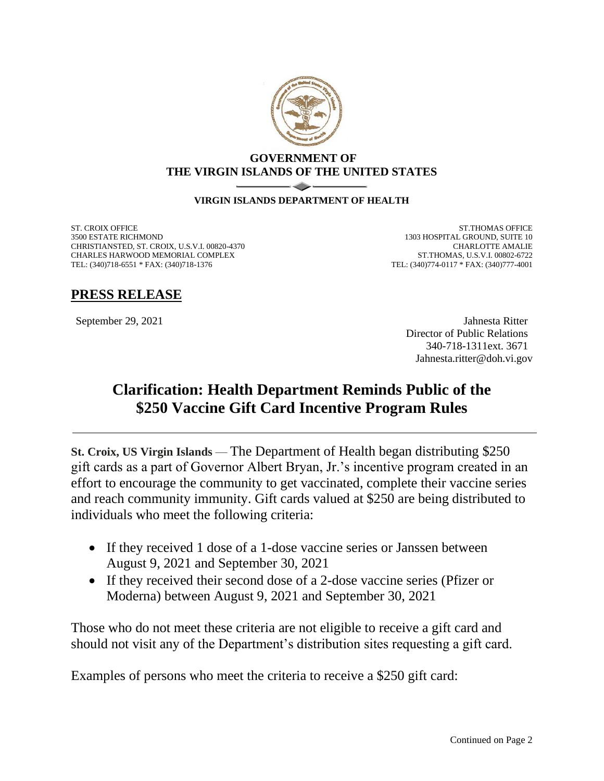

## **GOVERNMENT OF THE VIRGIN ISLANDS OF THE UNITED STATES**

## **VIRGIN ISLANDS DEPARTMENT OF HEALTH**

ST. CROIX OFFICE 3500 ESTATE RICHMOND CHRISTIANSTED, ST. CROIX, U.S.V.I. 00820-4370 CHARLES HARWOOD MEMORIAL COMPLEX TEL: (340)718-6551 \* FAX: (340)718-1376

ST.THOMAS OFFICE 1303 HOSPITAL GROUND, SUITE 10 CHARLOTTE AMALIE ST.THOMAS, U.S.V.I. 00802-6722 TEL: (340)774-0117 \* FAX: (340)777-4001

## **PRESS RELEASE**

September 29, 2021 Jahnesta Ritter Director of Public Relations 340-718-1311ext. 3671 Jahnesta.ritter@doh.vi.gov

## **Clarification: Health Department Reminds Public of the \$250 Vaccine Gift Card Incentive Program Rules**

**St. Croix, US Virgin Islands** — The Department of Health began distributing \$250 gift cards as a part of Governor Albert Bryan, Jr.'s incentive program created in an effort to encourage the community to get vaccinated, complete their vaccine series and reach community immunity. Gift cards valued at \$250 are being distributed to individuals who meet the following criteria:

- If they received 1 dose of a 1-dose vaccine series or Janssen between August 9, 2021 and September 30, 2021
- If they received their second dose of a 2-dose vaccine series (Pfizer or Moderna) between August 9, 2021 and September 30, 2021

Those who do not meet these criteria are not eligible to receive a gift card and should not visit any of the Department's distribution sites requesting a gift card.

Examples of persons who meet the criteria to receive a \$250 gift card: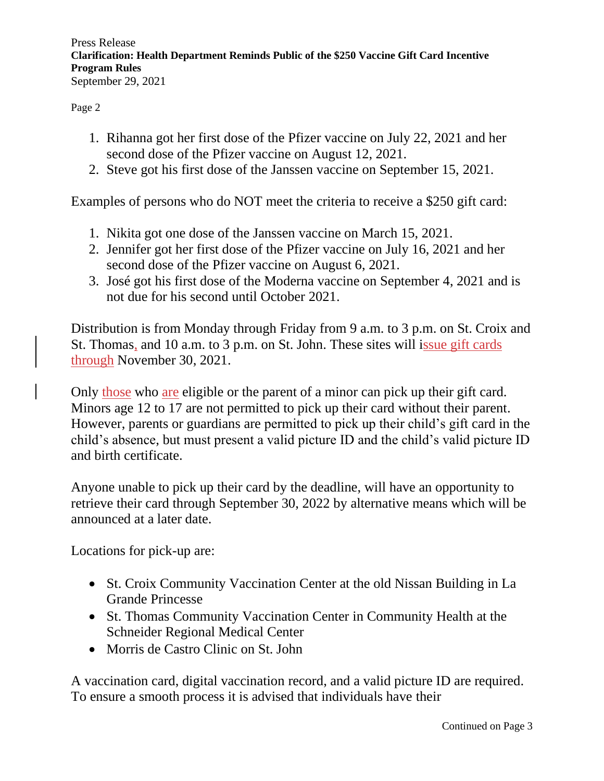Press Release **Clarification: Health Department Reminds Public of the \$250 Vaccine Gift Card Incentive Program Rules** September 29, 2021

Page 2

- 1. Rihanna got her first dose of the Pfizer vaccine on July 22, 2021 and her second dose of the Pfizer vaccine on August 12, 2021.
- 2. Steve got his first dose of the Janssen vaccine on September 15, 2021.

Examples of persons who do NOT meet the criteria to receive a \$250 gift card:

- 1. Nikita got one dose of the Janssen vaccine on March 15, 2021.
- 2. Jennifer got her first dose of the Pfizer vaccine on July 16, 2021 and her second dose of the Pfizer vaccine on August 6, 2021.
- 3. José got his first dose of the Moderna vaccine on September 4, 2021 and is not due for his second until October 2021.

Distribution is from Monday through Friday from 9 a.m. to 3 p.m. on St. Croix and St. Thomas, and 10 a.m. to 3 p.m. on St. John. These sites will issue gift cards through November 30, 2021.

Only those who are eligible or the parent of a minor can pick up their gift card. Minors age 12 to 17 are not permitted to pick up their card without their parent. However, parents or guardians are permitted to pick up their child's gift card in the child's absence, but must present a valid picture ID and the child's valid picture ID and birth certificate.

Anyone unable to pick up their card by the deadline, will have an opportunity to retrieve their card through September 30, 2022 by alternative means which will be announced at a later date.

Locations for pick-up are:

- St. Croix Community Vaccination Center at the old Nissan Building in La Grande Princesse
- St. Thomas Community Vaccination Center in Community Health at the Schneider Regional Medical Center
- Morris de Castro Clinic on St. John

A vaccination card, digital vaccination record, and a valid picture ID are required. To ensure a smooth process it is advised that individuals have their